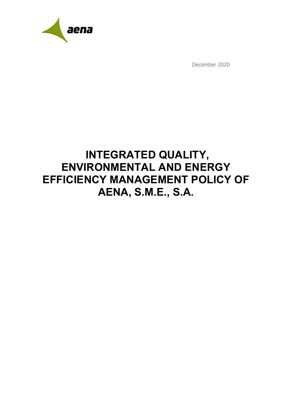

December 2020

# **INTEGRATED QUALITY, ENVIRONMENTAL AND ENERGY EFFICIENCY MANAGEMENT POLICY OF AENA, S.M.E., S.A.**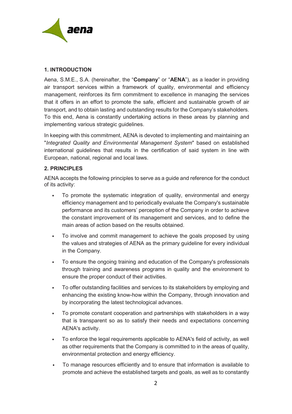

## **1. INTRODUCTION**

Aena, S.M.E., S.A. (hereinafter, the "**Company**" or "**AENA**"), as a leader in providing air transport services within a framework of quality, environmental and efficiency management, reinforces its firm commitment to excellence in managing the services that it offers in an effort to promote the safe, efficient and sustainable growth of air transport, and to obtain lasting and outstanding results for the Company's stakeholders. To this end, Aena is constantly undertaking actions in these areas by planning and implementing various strategic guidelines.

In keeping with this commitment, AENA is devoted to implementing and maintaining an "*Integrated Quality and Environmental Management System*" based on established international guidelines that results in the certification of said system in line with European, national, regional and local laws.

## **2. PRINCIPLES**

AENA accepts the following principles to serve as a guide and reference for the conduct of its activity:

- To promote the systematic integration of quality, environmental and energy efficiency management and to periodically evaluate the Company's sustainable performance and its customers' perception of the Company in order to achieve the constant improvement of its management and services, and to define the main areas of action based on the results obtained.
- To involve and commit management to achieve the goals proposed by using the values and strategies of AENA as the primary guideline for every individual in the Company.
- To ensure the ongoing training and education of the Company's professionals through training and awareness programs in quality and the environment to ensure the proper conduct of their activities.
- To offer outstanding facilities and services to its stakeholders by employing and enhancing the existing know-how within the Company, through innovation and by incorporating the latest technological advances.
- To promote constant cooperation and partnerships with stakeholders in a way that is transparent so as to satisfy their needs and expectations concerning AENA's activity.
- To enforce the legal requirements applicable to AENA's field of activity, as well as other requirements that the Company is committed to in the areas of quality, environmental protection and energy efficiency.
- To manage resources efficiently and to ensure that information is available to promote and achieve the established targets and goals, as well as to constantly